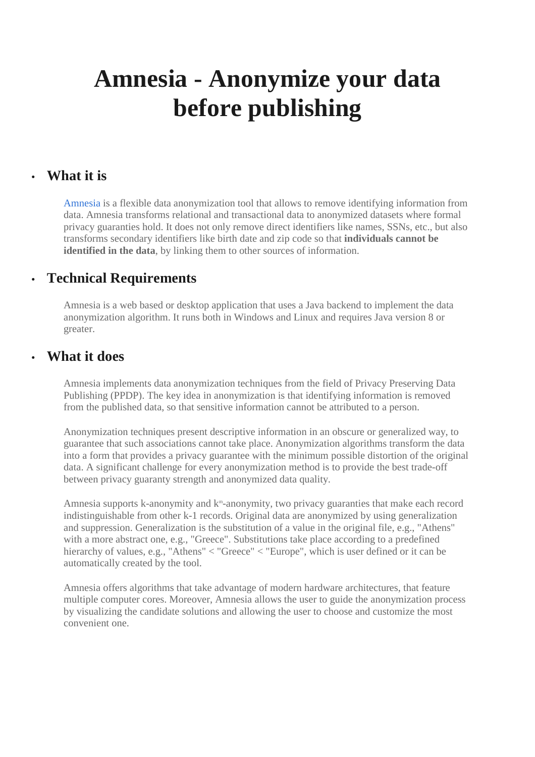# **Amnesia - Anonymize your data before publishing**

#### • **What it is**

Amnesia is a flexible data anonymization tool that allows to remove identifying information from data. Amnesia transforms relational and transactional data to anonymized datasets where formal privacy guaranties hold. It does not only remove direct identifiers like names, SSNs, etc., but also transforms secondary identifiers like birth date and zip code so that **individuals cannot be identified in the data**, by linking them to other sources of information.

## • **Technical Requirements**

Amnesia is a web based or desktop application that uses a Java backend to implement the data anonymization algorithm. It runs both in Windows and Linux and requires Java version 8 or greater.

#### • **What it does**

Amnesia implements data anonymization techniques from the field of Privacy Preserving Data Publishing (PPDP). The key idea in anonymization is that identifying information is removed from the published data, so that sensitive information cannot be attributed to a person.

Anonymization techniques present descriptive information in an obscure or generalized way, to guarantee that such associations cannot take place. Anonymization algorithms transform the data into a form that provides a privacy guarantee with the minimum possible distortion of the original data. A significant challenge for every anonymization method is to provide the best trade-off between privacy guaranty strength and anonymized data quality.

Amnesia supports k-anonymity and k<sup>m</sup>-anonymity, two privacy guaranties that make each record indistinguishable from other k-1 records. Original data are anonymized by using generalization and suppression. Generalization is the substitution of a value in the original file, e.g., "Athens" with a more abstract one, e.g., "Greece". Substitutions take place according to a predefined hierarchy of values, e.g., "Athens"  $\langle$  "Greece"  $\langle$  "Europe", which is user defined or it can be automatically created by the tool.

Amnesia offers algorithms that take advantage of modern hardware architectures, that feature multiple computer cores. Moreover, Amnesia allows the user to guide the anonymization process by visualizing the candidate solutions and allowing the user to choose and customize the most convenient one.